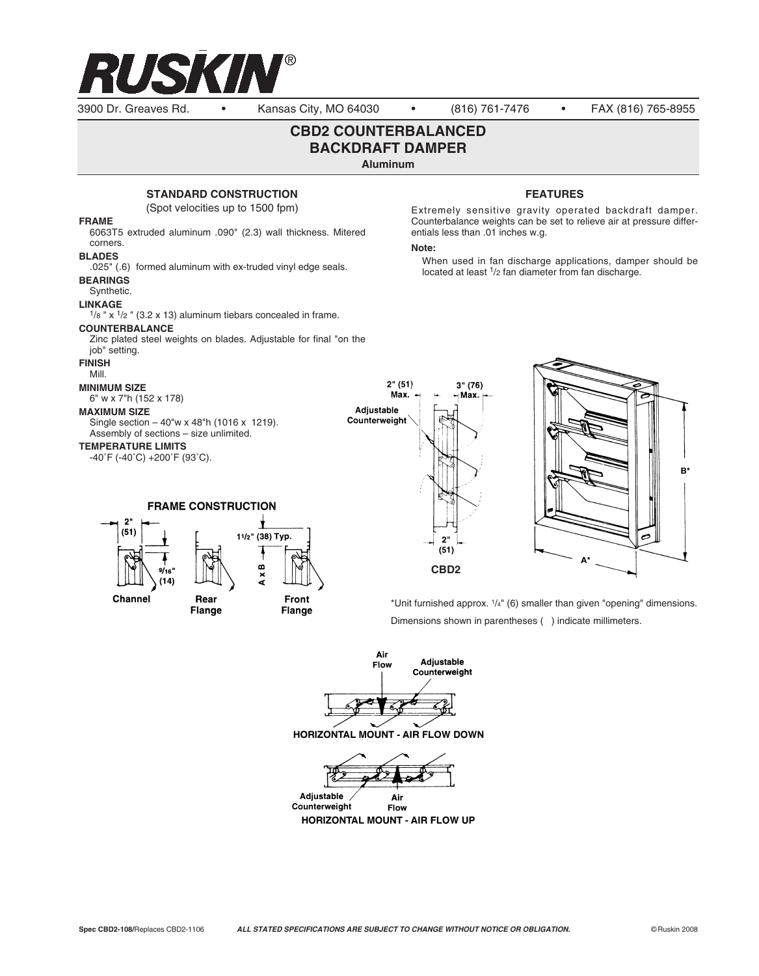

3900 Dr. Greaves Rd. • Kansas City, MO 64030 • (816) 761-7476 • FAX (816) 765-8955

# **CBD2 COUNTERBALANCED BACKDRAFT DAMPER**

**Aluminum** 

## **STANDARD CONSTRUCTION**

(Spot velocities up to 1500 fpm)

#### **FRAME**

6063T5 extruded aluminum .090" (2.3) wall thickness. Mitered corners. **BLADES** .025" (.6) formed aluminum with ex-truded vinyl edge seals.

#### **BEARINGS**

Synthetic.

## **LINKAGE**

 $1/8$  " x  $1/2$  " (3.2 x 13) aluminum tiebars concealed in frame.

### **COUNTERBALANCE**

Zinc plated steel weights on blades. Adjustable for final "on the job" setting.

#### **FINISH**

Mill.

#### **MINIMUM SIZE**

6" w x 7"h (152 x 178)

#### **MAXIMUM SIZE**

Single section – 40"w x 48"h (1016 x 1219). Assembly of sections – size unlimited.

### **TEMPERATURE LIMITS**

-40˚F (-40˚C) +200˚F (93˚C).



Rear





Flange

Front Flange **FEATURES**

Extremely sensitive gravity operated backdraft damper. Counterbalance weights can be set to relieve air at pressure differentials less than .01 inches w.g.

### **Note:**

When used in fan discharge applications, damper should be located at least 1/2 fan diameter from fan discharge.



\*Unit furnished approx. 1/4" (6) smaller than given "opening" dimensions. Dimensions shown in parentheses ( ) indicate millimeters.

Air Adjustable Flow Counterweight

**HORIZONTAL MOUNT - AIR FLOW DOWN** 



Adjustable Air Counterweight Flow **HORIZONTAL MOUNT - AIR FLOW UP**